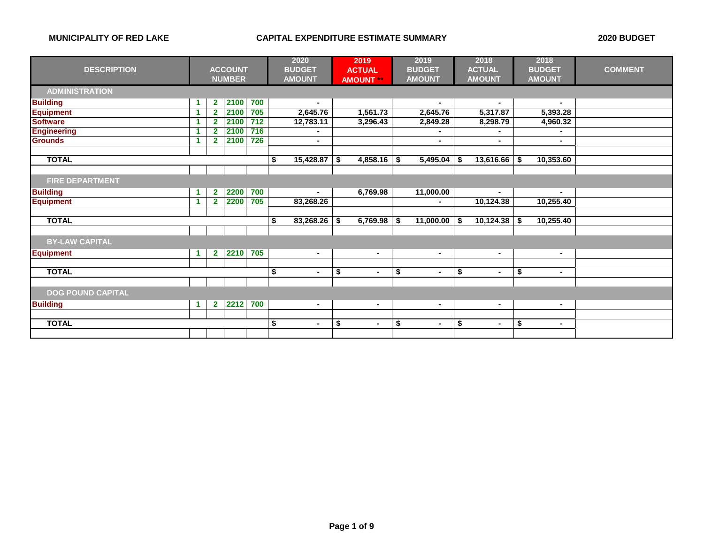|                          |    |                         |                |     | 2020 |                | 2019 |                 | 2019 |                | 2018 |                | 2018 |                |                |
|--------------------------|----|-------------------------|----------------|-----|------|----------------|------|-----------------|------|----------------|------|----------------|------|----------------|----------------|
| <b>DESCRIPTION</b>       |    |                         | <b>ACCOUNT</b> |     |      | <b>BUDGET</b>  |      | <b>ACTUAL</b>   |      | <b>BUDGET</b>  |      | <b>ACTUAL</b>  |      | <b>BUDGET</b>  | <b>COMMENT</b> |
|                          |    |                         | <b>NUMBER</b>  |     |      | <b>AMOUNT</b>  |      | <b>AMOUNT**</b> |      | <b>AMOUNT</b>  |      | <b>AMOUNT</b>  |      | <b>AMOUNT</b>  |                |
| <b>ADMINISTRATION</b>    |    |                         |                |     |      |                |      |                 |      |                |      |                |      |                |                |
| <b>Building</b>          | 1  | $\mathbf{2}$            | 2100           | 700 |      | $\blacksquare$ |      |                 |      | $\blacksquare$ |      | $\sim$         |      | $\blacksquare$ |                |
| <b>Equipment</b>         |    | $\overline{2}$          | 2100           | 705 |      | 2,645.76       |      | 1,561.73        |      | 2,645.76       |      | 5,317.87       |      | 5,393.28       |                |
| <b>Software</b>          | -1 | $\overline{2}$          | 2100           | 712 |      | 12,783.11      |      | 3,296.43        |      | 2,849.28       |      | 8,298.79       |      | 4,960.32       |                |
| <b>Engineering</b>       |    | $\overline{\mathbf{2}}$ | 2100           | 716 |      |                |      |                 |      |                |      |                |      | ٠              |                |
| <b>Grounds</b>           |    | $\overline{2}$          | 2100           | 726 |      | $\blacksquare$ |      |                 |      |                |      | $\blacksquare$ |      |                |                |
| <b>TOTAL</b>             |    |                         |                |     |      |                |      | 4,858.16        |      |                |      | 13,616.66      |      |                |                |
|                          |    |                         |                |     | \$   | 15,428.87      | \$   |                 | \$   | 5,495.04       | S    |                | -\$  | 10,353.60      |                |
| <b>FIRE DEPARTMENT</b>   |    |                         |                |     |      |                |      |                 |      |                |      |                |      |                |                |
|                          |    |                         |                |     |      |                |      |                 |      |                |      |                |      |                |                |
| <b>Building</b>          | 1  | $\mathbf{2}$            | 2200           | 700 |      |                |      | 6,769.98        |      | 11,000.00      |      | ٠              |      | $\blacksquare$ |                |
| <b>Equipment</b>         | -1 | $\overline{2}$          | 2200           | 705 |      | 83,268.26      |      |                 |      |                |      | 10,124.38      |      | 10,255.40      |                |
|                          |    |                         |                |     |      |                |      |                 |      |                |      |                |      |                |                |
| <b>TOTAL</b>             |    |                         |                |     | \$   | 83,268.26      | - \$ | 6,769.98        | S.   | 11,000.00      | S    | 10,124.38      | S.   | 10,255.40      |                |
|                          |    |                         |                |     |      |                |      |                 |      |                |      |                |      |                |                |
| <b>BY-LAW CAPITAL</b>    |    |                         |                |     |      |                |      |                 |      |                |      |                |      |                |                |
| <b>Equipment</b>         |    | $\mathbf{2}$            | 2210           | 705 |      | $\blacksquare$ |      | $\blacksquare$  |      | $\sim$         |      | $\blacksquare$ |      | $\sim$         |                |
|                          |    |                         |                |     |      |                |      |                 |      |                |      |                |      |                |                |
| <b>TOTAL</b>             |    |                         |                |     | \$   | $\blacksquare$ | \$   | $\blacksquare$  | \$   | $\blacksquare$ | \$   | $\blacksquare$ | \$   | $\blacksquare$ |                |
|                          |    |                         |                |     |      |                |      |                 |      |                |      |                |      |                |                |
| <b>DOG POUND CAPITAL</b> |    |                         |                |     |      |                |      |                 |      |                |      |                |      |                |                |
| <b>Building</b>          | 1  | $\mathbf{2}$            | 2212           | 700 |      | $\blacksquare$ |      | $\blacksquare$  |      | $\blacksquare$ |      | ٠              |      | ٠              |                |
|                          |    |                         |                |     | \$   |                |      |                 |      |                |      |                |      |                |                |
| <b>TOTAL</b>             |    |                         |                |     |      |                | \$   |                 | \$   |                | \$   | ۰              | \$   | ۰.             |                |
|                          |    |                         |                |     |      |                |      |                 |      |                |      |                |      |                |                |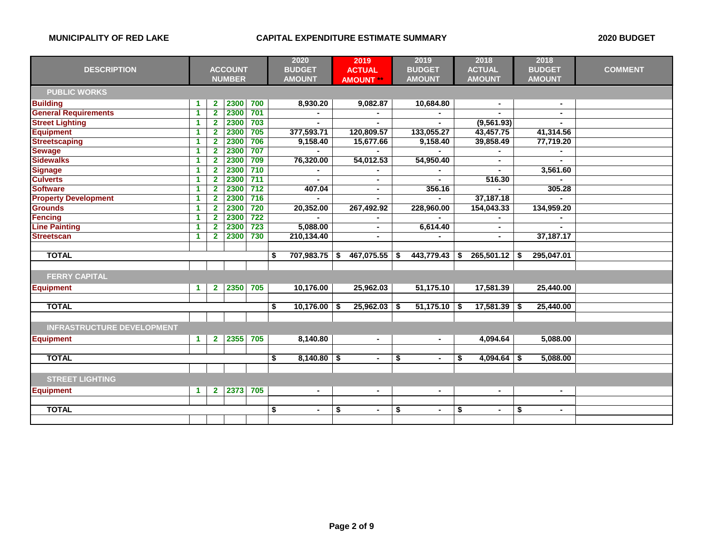|                                   |                      |                |                |       | 2020                 |    | 2019             | 2019                 |      | 2018           |    | 2018           |                |
|-----------------------------------|----------------------|----------------|----------------|-------|----------------------|----|------------------|----------------------|------|----------------|----|----------------|----------------|
| <b>DESCRIPTION</b>                |                      |                | <b>ACCOUNT</b> |       | <b>BUDGET</b>        |    | <b>ACTUAL</b>    | <b>BUDGET</b>        |      | <b>ACTUAL</b>  |    | <b>BUDGET</b>  | <b>COMMENT</b> |
|                                   |                      |                | <b>NUMBER</b>  |       | <b>AMOUNT</b>        |    | <b>AMOUNT **</b> | <b>AMOUNT</b>        |      | <b>AMOUNT</b>  |    | <b>AMOUNT</b>  |                |
| <b>PUBLIC WORKS</b>               |                      |                |                |       |                      |    |                  |                      |      |                |    |                |                |
| <b>Building</b>                   | -1                   | $\mathbf{2}$   | 2300           | 700   | 8,930.20             |    | 9,082.87         | 10,684.80            |      | $\blacksquare$ |    | $\blacksquare$ |                |
| <b>General Requirements</b>       | $\overline{1}$       | $\overline{2}$ | 2300           | 701   |                      |    |                  |                      |      |                |    | $\blacksquare$ |                |
| <b>Street Lighting</b>            | $\blacktriangleleft$ | $\mathbf{2}$   | 2300           | 703   |                      |    |                  |                      |      | (9, 561.93)    |    |                |                |
| <b>Equipment</b>                  | 1                    | $\overline{2}$ | 2300           | 705   | 377,593.71           |    | 120,809.57       | 133,055.27           |      | 43,457.75      |    | 41,314.56      |                |
| <b>Streetscaping</b>              | $\blacktriangleleft$ | $\mathbf{2}$   | 2300           | 706   | 9,158.40             |    | 15,677.66        | 9,158.40             |      | 39,858.49      |    | 77,719.20      |                |
| <b>Sewage</b>                     | 1                    | $\mathbf{2}$   | 2300           | 707   |                      |    |                  |                      |      |                |    |                |                |
| <b>Sidewalks</b>                  | 1                    | $\overline{2}$ | 2300           | 709   | 76,320.00            |    | 54,012.53        | 54,950.40            |      |                |    |                |                |
| <b>Signage</b>                    | 1                    | $\mathbf{2}$   | 2300           | 710   |                      |    |                  |                      |      |                |    | 3,561.60       |                |
| <b>Culverts</b>                   | 1                    | $\mathbf{2}$   | 2300           | $711$ |                      |    | $\blacksquare$   |                      |      | 516.30         |    |                |                |
| <b>Software</b>                   | 1                    | $\mathbf{2}$   | 2300           | $712$ | 407.04               |    |                  | 356.16               |      |                |    | 305.28         |                |
| <b>Property Development</b>       | 1                    | $\mathbf{2}$   | 2300           | 716   |                      |    |                  |                      |      | 37,187.18      |    |                |                |
| <b>Grounds</b>                    | 1                    | $\mathbf{2}$   | 2300           | 720   | 20,352.00            |    | 267,492.92       | 228,960.00           |      | 154,043.33     |    | 134,959.20     |                |
| <b>Fencing</b>                    | 1                    | $\overline{2}$ | 2300           | 722   |                      |    |                  |                      |      |                |    |                |                |
| <b>Line Painting</b>              | 1                    | $\overline{2}$ | 2300           | 723   | 5,088.00             |    | $\sim$           | 6,614.40             |      | $\blacksquare$ |    |                |                |
| <b>Streetscan</b>                 | -1                   | $\mathbf{2}$   | 2300           | 730   | 210,134.40           |    | $\blacksquare$   |                      |      | $\blacksquare$ |    | 37,187.17      |                |
|                                   |                      |                |                |       |                      |    |                  |                      |      |                |    |                |                |
| <b>TOTAL</b>                      |                      |                |                |       | \$<br>707,983.75     | S  | 467,075.55       | \$<br>443,779.43     | -S   | 265,501.12     | \$ | 295,047.01     |                |
|                                   |                      |                |                |       |                      |    |                  |                      |      |                |    |                |                |
| <b>FERRY CAPITAL</b>              |                      |                |                |       |                      |    |                  |                      |      |                |    |                |                |
| <b>Equipment</b>                  | $\blacktriangleleft$ | $\mathbf{2}$   | 2350           | 705   | 10,176.00            |    | 25,962.03        | 51,175.10            |      | 17,581.39      |    | 25,440.00      |                |
|                                   |                      |                |                |       |                      |    |                  |                      |      |                |    |                |                |
| <b>TOTAL</b>                      |                      |                |                |       | \$<br>10,176.00      | \$ | 25,962.03        | \$<br>51,175.10      | - \$ | 17,581.39      | \$ | 25,440.00      |                |
|                                   |                      |                |                |       |                      |    |                  |                      |      |                |    |                |                |
| <b>INFRASTRUCTURE DEVELOPMENT</b> |                      |                |                |       |                      |    |                  |                      |      |                |    |                |                |
| <b>Equipment</b>                  | -1                   | $\mathbf{2}$   | 2355           | 705   | 8,140.80             |    | $\blacksquare$   | ٠                    |      | 4,094.64       |    | 5,088.00       |                |
|                                   |                      |                |                |       |                      |    |                  |                      |      |                |    |                |                |
| <b>TOTAL</b>                      |                      |                |                |       | \$<br>8,140.80       | \$ | $\blacksquare$   | \$<br>$\blacksquare$ | S    | 4,094.64       | -S | 5,088.00       |                |
|                                   |                      |                |                |       |                      |    |                  |                      |      |                |    |                |                |
| <b>STREET LIGHTING</b>            |                      |                |                |       |                      |    |                  |                      |      |                |    |                |                |
| <b>Equipment</b>                  | $\blacktriangleleft$ | $\mathbf{2}$   | 2373           | 705   | $\blacksquare$       |    | $\blacksquare$   | $\blacksquare$       |      | $\blacksquare$ |    | $\sim$         |                |
|                                   |                      |                |                |       |                      |    |                  |                      |      |                |    |                |                |
| <b>TOTAL</b>                      |                      |                |                |       | \$<br>$\blacksquare$ | \$ | $\blacksquare$   | \$<br>٠              | \$   | $\blacksquare$ | \$ | $\sim$         |                |
|                                   |                      |                |                |       |                      |    |                  |                      |      |                |    |                |                |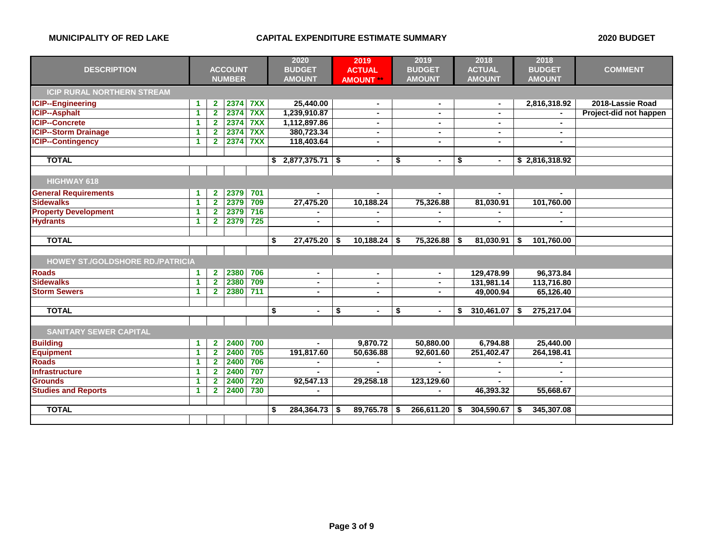|                                         | <b>ACCOUNT</b>       |                         |               |     | 2020 |                | 2019 |                  | 2019 |                | 2018 |                | 2018 |                |                        |
|-----------------------------------------|----------------------|-------------------------|---------------|-----|------|----------------|------|------------------|------|----------------|------|----------------|------|----------------|------------------------|
| <b>DESCRIPTION</b>                      |                      |                         |               |     |      | <b>BUDGET</b>  |      | <b>ACTUAL</b>    |      | <b>BUDGET</b>  |      | <b>ACTUAL</b>  |      | <b>BUDGET</b>  | <b>COMMENT</b>         |
|                                         |                      |                         | <b>NUMBER</b> |     |      | <b>AMOUNT</b>  |      | <b>AMOUNT **</b> |      | <b>AMOUNT</b>  |      | <b>AMOUNT</b>  |      | <b>AMOUNT</b>  |                        |
| <b>ICIP RURAL NORTHERN STREAM</b>       |                      |                         |               |     |      |                |      |                  |      |                |      |                |      |                |                        |
| <b>ICIP--Engineering</b>                | 1                    | $\overline{2}$          | 2374          | 7XX |      | 25,440.00      |      |                  |      |                |      | $\blacksquare$ |      | 2,816,318.92   | 2018-Lassie Road       |
| <b>ICIP--Asphalt</b>                    | $\blacktriangleleft$ | $\overline{2}$          | 2374          | 7XX |      | 1,239,910.87   |      | $\blacksquare$   |      | $\blacksquare$ |      | $\blacksquare$ |      |                | Project-did not happen |
| <b>ICIP--Concrete</b>                   | 1                    | $\overline{2}$          | 2374          | 7XX |      | 1,112,897.86   |      | $\blacksquare$   |      | $\blacksquare$ |      | ۰              |      | $\sim$         |                        |
| <b>ICIP--Storm Drainage</b>             | 1                    | $\overline{\mathbf{2}}$ | 2374          | 7XX |      | 380,723.34     |      | $\blacksquare$   |      | ٠              |      | ۰              |      | $\sim$         |                        |
| <b>ICIP--Contingency</b>                | 1                    | $\overline{2}$          | 2374          | 7XX |      | 118,403.64     |      | $\blacksquare$   |      | $\blacksquare$ |      | ۰              |      |                |                        |
|                                         |                      |                         |               |     |      |                |      |                  |      |                |      |                |      |                |                        |
| <b>TOTAL</b>                            |                      |                         |               |     | \$   | 2,877,375.71   | \$   | $\blacksquare$   | \$   | $\blacksquare$ | \$   | $\blacksquare$ |      | \$2,816,318.92 |                        |
|                                         |                      |                         |               |     |      |                |      |                  |      |                |      |                |      |                |                        |
| HIGHWAY 618                             |                      |                         |               |     |      |                |      |                  |      |                |      |                |      |                |                        |
| <b>General Requirements</b>             | 1                    | $\mathbf{2}$            | 2379          | 701 |      |                |      |                  |      |                |      |                |      |                |                        |
| <b>Sidewalks</b>                        | 1                    | $\overline{2}$          | 2379          | 709 |      | 27,475.20      |      | 10,188.24        |      | 75,326.88      |      | 81,030.91      |      | 101,760.00     |                        |
| <b>Property Development</b>             | 1                    | $\overline{2}$          | 2379          | 716 |      |                |      |                  |      |                |      |                |      |                |                        |
| <b>Hydrants</b>                         | 1                    | $\overline{2}$          | 2379          | 725 |      | $\blacksquare$ |      | $\blacksquare$   |      |                |      | ۰              |      | $\sim$         |                        |
|                                         |                      |                         |               |     |      |                |      |                  |      |                |      |                |      |                |                        |
| <b>TOTAL</b>                            |                      |                         |               |     | \$   | 27,475.20      | -S   | 10,188.24        | S    | 75,326.88      |      | 81,030.91      | \$   | 101,760.00     |                        |
|                                         |                      |                         |               |     |      |                |      |                  |      |                |      |                |      |                |                        |
| <b>HOWEY ST./GOLDSHORE RD./PATRICIA</b> |                      |                         |               |     |      |                |      |                  |      |                |      |                |      |                |                        |
| <b>Roads</b>                            | 1                    | $\mathbf{2}$            | 2380          | 706 |      | $\blacksquare$ |      | $\blacksquare$   |      | $\blacksquare$ |      | 129,478.99     |      | 96,373.84      |                        |
| <b>Sidewalks</b>                        | 1                    | $\overline{2}$          | 2380          | 709 |      | $\blacksquare$ |      | $\blacksquare$   |      | $\blacksquare$ |      | 131,981.14     |      | 113,716.80     |                        |
| <b>Storm Sewers</b>                     | 1                    | $\overline{2}$          | 2380          | 711 |      |                |      | $\blacksquare$   |      |                |      | 49,000.94      |      | 65,126.40      |                        |
|                                         |                      |                         |               |     |      |                |      |                  |      |                |      |                |      |                |                        |
| <b>TOTAL</b>                            |                      |                         |               |     | \$   | $\sim$         | \$   | $\blacksquare$   | \$   | ٠              | \$   | 310,461.07     | S    | 275,217.04     |                        |
|                                         |                      |                         |               |     |      |                |      |                  |      |                |      |                |      |                |                        |
| <b>SANITARY SEWER CAPITAL</b>           |                      |                         |               |     |      |                |      |                  |      |                |      |                |      |                |                        |
| <b>Building</b>                         | 1                    | $\mathbf{2}$            | 2400          | 700 |      |                |      | 9,870.72         |      | 50,880.00      |      | 6,794.88       |      | 25,440.00      |                        |
| <b>Equipment</b>                        | 1                    | $\mathbf{2}$            | 2400          | 705 |      | 191,817.60     |      | 50,636.88        |      | 92,601.60      |      | 251,402.47     |      | 264,198.41     |                        |
| <b>Roads</b>                            | 1                    | $\mathbf{2}$            | 2400          | 706 |      |                |      |                  |      |                |      |                |      |                |                        |
| <b>Infrastructure</b>                   | 1                    | $\overline{2}$          | 2400          | 707 |      | $\sim$         |      |                  |      |                |      | ÷.             |      |                |                        |
| <b>Grounds</b>                          | 1                    | $\mathbf{2}$            | 2400          | 720 |      | 92,547.13      |      | 29,258.18        |      | 123,129.60     |      |                |      |                |                        |
| <b>Studies and Reports</b>              | 1                    | $\overline{2}$          | 2400          | 730 |      |                |      |                  |      |                |      | 46,393.32      |      | 55,668.67      |                        |
|                                         |                      |                         |               |     |      |                |      |                  |      |                |      |                |      |                |                        |
| <b>TOTAL</b>                            |                      |                         |               |     |      | 284,364.73     | S    | 89,765.78        |      | 266,611.20     | S.   | 304,590.67     | S    | 345,307.08     |                        |
|                                         |                      |                         |               |     |      |                |      |                  |      |                |      |                |      |                |                        |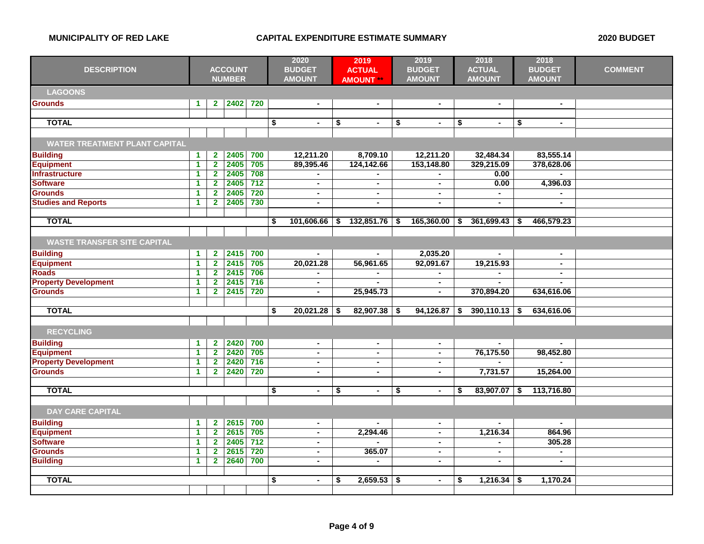| <b>DESCRIPTION</b>                   | <b>ACCOUNT</b><br><b>NUMBER</b> |                         |              | 2020<br><b>BUDGET</b><br><b>AMOUNT</b> |    |                | 2019<br><b>ACTUAL</b><br><b>AMOUNT **</b> | 2019<br><b>BUDGET</b><br><b>AMOUNT</b> |    |                | 2018<br><b>ACTUAL</b><br><b>AMOUNT</b> |                          | 2018<br><b>BUDGET</b><br><b>AMOUNT</b> | <b>COMMENT</b> |  |
|--------------------------------------|---------------------------------|-------------------------|--------------|----------------------------------------|----|----------------|-------------------------------------------|----------------------------------------|----|----------------|----------------------------------------|--------------------------|----------------------------------------|----------------|--|
| <b>LAGOONS</b>                       |                                 |                         |              |                                        |    |                |                                           |                                        |    |                |                                        |                          |                                        |                |  |
| <b>Grounds</b>                       | $\mathbf 1$                     |                         | 2 2402 720   |                                        |    | $\blacksquare$ |                                           | $\blacksquare$                         |    | $\blacksquare$ |                                        | $\blacksquare$           |                                        | $\sim$         |  |
|                                      |                                 |                         |              |                                        |    |                |                                           |                                        |    |                |                                        |                          |                                        |                |  |
| <b>TOTAL</b>                         |                                 |                         |              |                                        | \$ | $\blacksquare$ | \$                                        | $\blacksquare$                         | \$ | $\blacksquare$ | \$                                     | $\blacksquare$           | \$                                     | $\sim$         |  |
|                                      |                                 |                         |              |                                        |    |                |                                           |                                        |    |                |                                        |                          |                                        |                |  |
| <b>WATER TREATMENT PLANT CAPITAL</b> |                                 |                         |              |                                        |    |                |                                           |                                        |    |                |                                        |                          |                                        |                |  |
| <b>Building</b>                      | $\mathbf{1}$                    | $\mathbf{2}$            | 2405         | 700                                    |    | 12,211.20      |                                           | 8,709.10                               |    | 12,211.20      |                                        | 32,484.34                |                                        | 83,555.14      |  |
| <b>Equipment</b>                     | 1                               | $\overline{2}$          | 2405         | 705                                    |    | 89,395.46      |                                           | 124,142.66                             |    | 153,148.80     |                                        | 329,215.09               |                                        | 378,628.06     |  |
| <b>Infrastructure</b>                | 1                               | $\mathbf{2}$            | 2405         | 708                                    |    |                |                                           |                                        |    |                |                                        | 0.00                     |                                        |                |  |
| <b>Software</b>                      | 1                               | $\mathbf{2}$            | 2405         | $\overline{712}$                       |    | $\blacksquare$ |                                           | $\blacksquare$                         |    | $\blacksquare$ |                                        | 0.00                     |                                        | 4,396.03       |  |
| <b>Grounds</b>                       | $\blacktriangleleft$            | $\overline{2}$          | 2405         | 720                                    |    | $\blacksquare$ |                                           | $\blacksquare$                         |    | $\blacksquare$ |                                        | $\blacksquare$           |                                        |                |  |
| <b>Studies and Reports</b>           | 1                               | $\mathbf{2}$            | 2405         | 730                                    |    | $\blacksquare$ |                                           | $\blacksquare$                         |    | ä,             |                                        |                          |                                        |                |  |
|                                      |                                 |                         |              |                                        |    |                |                                           |                                        |    |                |                                        |                          |                                        |                |  |
| <b>TOTAL</b>                         |                                 |                         |              |                                        | \$ | 101,606.66     | \$                                        | 132,851.76                             | \$ | 165,360.00     | \$                                     | 361,699.43               | \$                                     | 466,579.23     |  |
|                                      |                                 |                         |              |                                        |    |                |                                           |                                        |    |                |                                        |                          |                                        |                |  |
| <b>WASTE TRANSFER SITE CAPITAL</b>   |                                 |                         |              |                                        |    |                |                                           |                                        |    |                |                                        |                          |                                        |                |  |
| <b>Building</b>                      | 1                               | $\mathbf{2}$            | 2415         | 700                                    |    | $\blacksquare$ |                                           |                                        |    | 2,035.20       |                                        |                          |                                        | $\sim$         |  |
| <b>Equipment</b>                     | 1                               | $\overline{2}$          | 2415         | 705                                    |    | 20,021.28      |                                           | 56,961.65                              |    | 92,091.67      |                                        | 19,215.93                |                                        | $\sim$         |  |
| <b>Roads</b>                         | 1                               | $\mathbf{2}$            | 2415         | 706                                    |    | $\blacksquare$ |                                           |                                        |    |                |                                        |                          |                                        | $\sim$         |  |
| <b>Property Development</b>          | 1                               | $\overline{2}$          | 2415         | 716                                    |    | $\blacksquare$ |                                           |                                        |    | $\blacksquare$ |                                        |                          |                                        |                |  |
| <b>Grounds</b>                       | 1                               | $\overline{2}$          | 2415         | 720                                    |    | $\blacksquare$ |                                           | 25,945.73                              |    | $\blacksquare$ |                                        | 370,894.20               |                                        | 634,616.06     |  |
|                                      |                                 |                         |              |                                        |    |                |                                           |                                        |    |                |                                        |                          |                                        |                |  |
| <b>TOTAL</b>                         |                                 |                         |              |                                        | \$ | 20,021.28      | \$                                        | 82,907.38                              |    | 94,126.87      | \$                                     | 390,110.13               | \$                                     | 634,616.06     |  |
|                                      |                                 |                         |              |                                        |    |                |                                           |                                        |    |                |                                        |                          |                                        |                |  |
| <b>RECYCLING</b>                     |                                 |                         |              |                                        |    |                |                                           |                                        |    |                |                                        |                          |                                        |                |  |
| <b>Building</b>                      | 1                               | $\mathbf{2}$            | 2420         | 700                                    |    | $\blacksquare$ |                                           | $\blacksquare$                         |    | $\blacksquare$ |                                        | $\blacksquare$           |                                        |                |  |
| <b>Equipment</b>                     | 1                               | $\mathbf{2}$            | 2420         | 705                                    |    | $\blacksquare$ |                                           | $\blacksquare$                         |    | ä,             |                                        | 76,175.50                |                                        | 98,452.80      |  |
| <b>Property Development</b>          | 1                               | $\overline{2}$          | 2420         | 716                                    |    | $\blacksquare$ |                                           | $\blacksquare$                         |    | $\blacksquare$ |                                        |                          |                                        |                |  |
| <b>Grounds</b>                       | 1                               | $\overline{2}$          | 2420         | 720                                    |    | $\blacksquare$ |                                           | $\blacksquare$                         |    | $\blacksquare$ |                                        | 7,731.57                 |                                        | 15,264.00      |  |
|                                      |                                 |                         |              |                                        |    |                |                                           |                                        |    |                |                                        |                          |                                        |                |  |
| <b>TOTAL</b>                         |                                 |                         |              |                                        | \$ | $\blacksquare$ | \$                                        | $\blacksquare$                         | \$ | $\blacksquare$ | \$                                     | 83,907.07                | \$                                     | 113,716.80     |  |
|                                      |                                 |                         |              |                                        |    |                |                                           |                                        |    |                |                                        |                          |                                        |                |  |
| <b>DAY CARE CAPITAL</b>              |                                 |                         |              |                                        |    |                |                                           |                                        |    |                |                                        |                          |                                        |                |  |
|                                      |                                 |                         |              |                                        |    |                |                                           |                                        |    |                |                                        |                          |                                        |                |  |
| <b>Building</b>                      | 1                               | $\mathbf{2}$            | 2615         | 700                                    |    | $\blacksquare$ |                                           | $\blacksquare$                         |    | $\blacksquare$ |                                        | $\blacksquare$           |                                        | $\sim$         |  |
| <b>Equipment</b>                     | 1                               | $\overline{\mathbf{2}}$ | 2615         | 705                                    |    | $\blacksquare$ |                                           | 2,294.46                               |    | $\blacksquare$ |                                        | 1,216.34                 |                                        | 864.96         |  |
| <b>Software</b><br><b>Grounds</b>    | 1                               | $\mathbf{2}$            | 2405<br>2615 | 712<br>720                             |    | $\blacksquare$ |                                           | 365.07                                 |    | $\blacksquare$ |                                        | $\blacksquare$           |                                        | 305.28         |  |
|                                      | 1                               | $\overline{2}$          |              |                                        |    | $\blacksquare$ |                                           |                                        |    | $\blacksquare$ |                                        | $\blacksquare$           |                                        | $\blacksquare$ |  |
| <b>Building</b>                      | 1                               | $\overline{2}$          | 2640         | 700                                    |    | $\blacksquare$ |                                           | $\blacksquare$                         |    | ÷,             |                                        | $\overline{\phantom{a}}$ |                                        | $\blacksquare$ |  |
| <b>TOTAL</b>                         |                                 |                         |              |                                        |    |                |                                           |                                        |    |                |                                        |                          |                                        |                |  |
|                                      |                                 |                         |              |                                        | \$ | $\blacksquare$ | \$                                        | 2,659.53                               | \$ | $\blacksquare$ | S.                                     | 1,216.34                 | S                                      | 1,170.24       |  |
|                                      |                                 |                         |              |                                        |    |                |                                           |                                        |    |                |                                        |                          |                                        |                |  |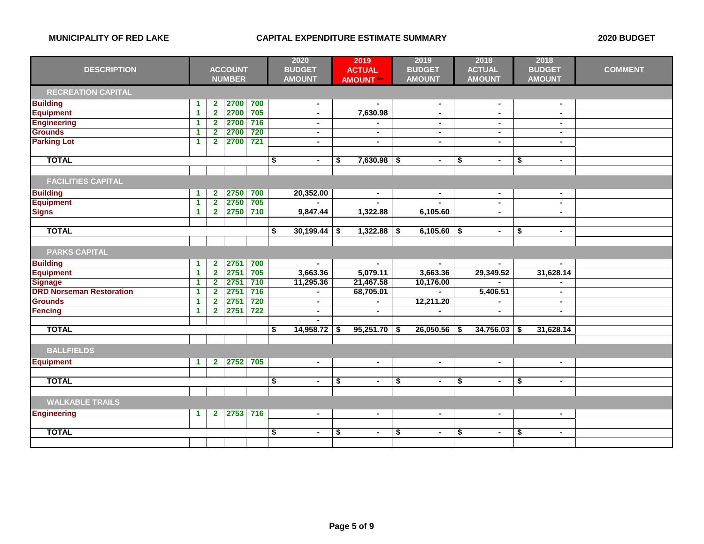| <b>DESCRIPTION</b>              | <b>ACCOUNT</b><br><b>NUMBER</b> |                         |      | 2020<br><b>BUDGET</b><br><b>AMOUNT</b> | 2019<br><b>ACTUAL</b><br><b>AMOUNT **</b> |    |                | 2019<br><b>BUDGET</b><br><b>AMOUNT</b> | 2018<br><b>ACTUAL</b><br><b>AMOUNT</b> |    |                | 2018<br><b>BUDGET</b><br><b>AMOUNT</b> | <b>COMMENT</b> |  |
|---------------------------------|---------------------------------|-------------------------|------|----------------------------------------|-------------------------------------------|----|----------------|----------------------------------------|----------------------------------------|----|----------------|----------------------------------------|----------------|--|
| <b>RECREATION CAPITAL</b>       |                                 |                         |      |                                        |                                           |    |                |                                        |                                        |    |                |                                        |                |  |
| <b>Building</b>                 | -1                              | $\mathbf{2}$            | 2700 | 700                                    | $\blacksquare$                            |    |                |                                        | $\blacksquare$                         |    | $\blacksquare$ |                                        | $\blacksquare$ |  |
| <b>Equipment</b>                | $\blacktriangleleft$            | $\overline{2}$          | 2700 | 705                                    | $\blacksquare$                            |    | 7,630.98       |                                        | $\blacksquare$                         |    | $\blacksquare$ |                                        | $\blacksquare$ |  |
| <b>Engineering</b>              | $\blacktriangleleft$            | $\overline{\mathbf{2}}$ | 2700 | 716                                    | $\blacksquare$                            |    |                |                                        | $\blacksquare$                         |    | ۰              |                                        | $\blacksquare$ |  |
| <b>Grounds</b>                  | $\blacktriangleleft$            | $\overline{2}$          | 2700 | 720                                    | $\blacksquare$                            |    | $\blacksquare$ |                                        | $\blacksquare$                         |    | $\blacksquare$ |                                        | $\mathbf{r}$   |  |
| <b>Parking Lot</b>              | $\blacktriangleleft$            | $\overline{2}$          | 2700 | 721                                    | $\blacksquare$                            |    | $\blacksquare$ |                                        | $\blacksquare$                         |    | $\blacksquare$ |                                        | $\sim$         |  |
|                                 |                                 |                         |      |                                        |                                           |    |                |                                        |                                        |    |                |                                        |                |  |
| <b>TOTAL</b>                    |                                 |                         |      |                                        | \$<br>$\blacksquare$                      | \$ | $7,630.98$ \$  |                                        | $\blacksquare$                         | \$ | $\sim$         | \$                                     | $\blacksquare$ |  |
|                                 |                                 |                         |      |                                        |                                           |    |                |                                        |                                        |    |                |                                        |                |  |
| <b>FACILITIES CAPITAL</b>       |                                 |                         |      |                                        |                                           |    |                |                                        |                                        |    |                |                                        |                |  |
| <b>Building</b>                 | $\blacktriangleleft$            | $\mathbf{2}$            | 2750 | 700                                    | 20,352.00                                 |    | $\sim$         |                                        | $\sim$                                 |    | $\sim$         |                                        | $\sim$         |  |
| <b>Equipment</b>                | $\blacktriangleleft$            | $\overline{\mathbf{2}}$ | 2750 | 705                                    |                                           |    |                |                                        |                                        |    | $\blacksquare$ |                                        | $\sim$         |  |
| <b>Signs</b>                    | $\blacktriangleleft$            | $\overline{2}$          | 2750 | 710                                    | 9,847.44                                  |    | 1,322.88       |                                        | 6,105.60                               |    | $\blacksquare$ |                                        | $\blacksquare$ |  |
|                                 |                                 |                         |      |                                        |                                           |    |                |                                        |                                        |    |                |                                        |                |  |
| <b>TOTAL</b>                    |                                 |                         |      |                                        | \$<br>30,199.44                           | \$ | 1,322.88       | \$                                     | $6,105.60$ \$                          |    | $\blacksquare$ | \$                                     | $\sim$         |  |
|                                 |                                 |                         |      |                                        |                                           |    |                |                                        |                                        |    |                |                                        |                |  |
| <b>PARKS CAPITAL</b>            |                                 |                         |      |                                        |                                           |    |                |                                        |                                        |    |                |                                        |                |  |
| <b>Building</b>                 | $\blacktriangleleft$            | $\mathbf{2}$            | 2751 | 700                                    |                                           |    |                |                                        |                                        |    |                |                                        |                |  |
| <b>Equipment</b>                | $\blacktriangleleft$            | $\overline{\mathbf{2}}$ | 2751 | 705                                    | 3,663.36                                  |    | 5,079.11       |                                        | 3,663.36                               |    | 29,349.52      |                                        | 31,628.14      |  |
| <b>Signage</b>                  | $\blacktriangleleft$            | $\mathbf{2}$            | 2751 | 710                                    | 11,295.36                                 |    | 21,467.58      |                                        | 10,176.00                              |    |                |                                        |                |  |
| <b>DRD Norseman Restoration</b> | $\blacktriangleleft$            | $\mathbf{2}$            | 2751 | 716                                    |                                           |    | 68,705.01      |                                        |                                        |    | 5,406.51       |                                        | $\blacksquare$ |  |
| <b>Grounds</b>                  | $\mathbf{1}$                    | $\overline{\mathbf{2}}$ | 2751 | 720                                    | $\blacksquare$                            |    |                |                                        | 12,211.20                              |    |                |                                        | $\blacksquare$ |  |
| <b>Fencing</b>                  | $\blacktriangleleft$            | $\overline{2}$          | 2751 | 722                                    | $\blacksquare$                            |    | $\sim$         |                                        |                                        |    | $\blacksquare$ |                                        | $\blacksquare$ |  |
|                                 |                                 |                         |      |                                        | $\sim$                                    |    |                |                                        |                                        |    |                |                                        |                |  |
| <b>TOTAL</b>                    |                                 |                         |      |                                        | 14,958.72<br>\$                           |    | 95,251.70      | \$                                     | 26,050.56                              | S  | 34,756.03      | -\$                                    | 31,628.14      |  |
|                                 |                                 |                         |      |                                        |                                           |    |                |                                        |                                        |    |                |                                        |                |  |
| <b>BALLFIELDS</b>               |                                 |                         |      |                                        |                                           |    |                |                                        |                                        |    |                |                                        |                |  |
| <b>Equipment</b>                | $\blacktriangleleft$            | $\overline{2}$          | 2752 | 705                                    | $\blacksquare$                            |    | $\blacksquare$ |                                        | $\sim$                                 |    | $\blacksquare$ |                                        | $\sim$         |  |
|                                 |                                 |                         |      |                                        |                                           |    |                |                                        |                                        |    |                |                                        |                |  |
| <b>TOTAL</b>                    |                                 |                         |      |                                        | \$<br>$\blacksquare$                      | \$ | $\blacksquare$ | \$                                     | $\blacksquare$                         | \$ | $\blacksquare$ | \$                                     | $\blacksquare$ |  |
|                                 |                                 |                         |      |                                        |                                           |    |                |                                        |                                        |    |                |                                        |                |  |
| <b>WALKABLE TRAILS</b>          |                                 |                         |      |                                        |                                           |    |                |                                        |                                        |    |                |                                        |                |  |
| <b>Engineering</b>              | $\blacktriangleleft$            | $\overline{2}$          | 2753 | 716                                    | $\blacksquare$                            |    | $\blacksquare$ |                                        | $\blacksquare$                         |    | $\blacksquare$ |                                        | $\blacksquare$ |  |
|                                 |                                 |                         |      |                                        |                                           |    |                |                                        |                                        |    |                |                                        |                |  |
| <b>TOTAL</b>                    |                                 |                         |      |                                        | \$<br>$\blacksquare$                      | \$ | $\sim$         | \$                                     | $\sim$                                 | \$ | $\blacksquare$ | \$                                     | $\sim$         |  |
|                                 |                                 |                         |      |                                        |                                           |    |                |                                        |                                        |    |                |                                        |                |  |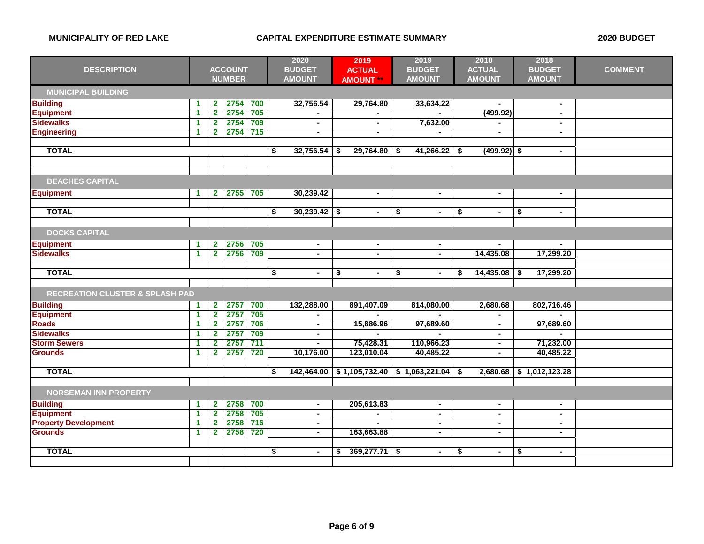|                                            |                      |                         |                |       | 2020                 |     | 2019             |    | 2019                | 2018                 | 2018                 |                |
|--------------------------------------------|----------------------|-------------------------|----------------|-------|----------------------|-----|------------------|----|---------------------|----------------------|----------------------|----------------|
| <b>DESCRIPTION</b>                         |                      |                         | <b>ACCOUNT</b> |       | <b>BUDGET</b>        |     | <b>ACTUAL</b>    |    | <b>BUDGET</b>       | <b>ACTUAL</b>        | <b>BUDGET</b>        | <b>COMMENT</b> |
|                                            |                      |                         | <b>NUMBER</b>  |       | <b>AMOUNT</b>        |     | <b>AMOUNT **</b> |    | <b>AMOUNT</b>       | <b>AMOUNT</b>        | <b>AMOUNT</b>        |                |
| <b>MUNICIPAL BUILDING</b>                  |                      |                         |                |       |                      |     |                  |    |                     |                      |                      |                |
| <b>Building</b>                            | $\blacktriangleleft$ | $\mathbf{2}$            | 2754           | 700   | 32,756.54            |     | 29,764.80        |    | 33,634.22           | $\sim$               | $\blacksquare$       |                |
| <b>Equipment</b>                           | $\mathbf{1}$         | $\overline{2}$          | 2754           | 705   |                      |     |                  |    |                     | (499.92)             | $\sim$               |                |
| <b>Sidewalks</b>                           | $\blacktriangleleft$ | $\mathbf{2}$            | 2754           | 709   |                      |     | $\blacksquare$   |    | 7,632.00            |                      |                      |                |
| <b>Engineering</b>                         | $\mathbf{1}$         | $\overline{2}$          | 2754           | $715$ | $\blacksquare$       |     | $\blacksquare$   |    |                     | $\blacksquare$       | $\blacksquare$       |                |
|                                            |                      |                         |                |       |                      |     |                  |    |                     |                      |                      |                |
| <b>TOTAL</b>                               |                      |                         |                |       | \$<br>32,756.54      |     | 29,764.80        | S  | $41,266.22$ \$      | $(499.92)$ \$        | $\blacksquare$       |                |
|                                            |                      |                         |                |       |                      |     |                  |    |                     |                      |                      |                |
| <b>BEACHES CAPITAL</b>                     |                      |                         |                |       |                      |     |                  |    |                     |                      |                      |                |
| <b>Equipment</b>                           | $\blacktriangleleft$ | $\mathbf{2}$            | 2755           | 705   | 30,239.42            |     | $\blacksquare$   |    | $\sim$              | $\blacksquare$       | $\sim$               |                |
|                                            |                      |                         |                |       |                      |     |                  |    |                     |                      |                      |                |
| <b>TOTAL</b>                               |                      |                         |                |       | \$<br>30,239.42      | -\$ | $\blacksquare$   | \$ | $\blacksquare$      | \$<br>$\bullet$      | \$<br>$\sim$         |                |
| <b>DOCKS CAPITAL</b>                       |                      |                         |                |       |                      |     |                  |    |                     |                      |                      |                |
| <b>Equipment</b>                           | $\blacktriangleleft$ | $\mathbf{2}$            | 2756           | 705   | $\blacksquare$       |     | $\blacksquare$   |    | $\blacksquare$      | $\sim$               | $\blacksquare$       |                |
| <b>Sidewalks</b>                           | $\blacktriangleleft$ | $\overline{2}$          | 2756           | 709   |                      |     | $\blacksquare$   |    |                     | 14,435.08            | 17,299.20            |                |
|                                            |                      |                         |                |       |                      |     |                  |    |                     |                      |                      |                |
| <b>TOTAL</b>                               |                      |                         |                |       | \$<br>$\sim$         | \$  | $\sim$           | \$ | $\sim$              | \$<br>14,435.08      | \$<br>17,299.20      |                |
|                                            |                      |                         |                |       |                      |     |                  |    |                     |                      |                      |                |
| <b>RECREATION CLUSTER &amp; SPLASH PAD</b> |                      |                         |                |       |                      |     |                  |    |                     |                      |                      |                |
| <b>Building</b>                            | $\blacktriangleleft$ | $\mathbf{2}$            | 2757           | 700   | 132,288.00           |     | 891,407.09       |    | 814,080.00          | 2,680.68             | 802,716.46           |                |
| <b>Equipment</b>                           | 1                    | $\mathbf{2}$            | 2757           | 705   |                      |     |                  |    |                     |                      |                      |                |
| <b>Roads</b>                               | 1                    | $\overline{2}$          | 2757           | 706   | $\blacksquare$       |     | 15,886.96        |    | 97,689.60           | $\blacksquare$       | 97,689.60            |                |
| <b>Sidewalks</b>                           | $\blacktriangleleft$ | $\mathbf{2}$            | 2757           | 709   | $\blacksquare$       |     |                  |    |                     | $\blacksquare$       |                      |                |
| <b>Storm Sewers</b>                        | $\overline{1}$       | $\overline{\mathbf{2}}$ | 2757           | 711   | $\blacksquare$       |     | 75,428.31        |    | 110,966.23          | $\blacksquare$       | 71,232.00            |                |
| <b>Grounds</b>                             | $\blacktriangleleft$ | $\overline{2}$          | 2757           | 720   | 10,176.00            |     | 123,010.04       |    | 40,485.22           | $\blacksquare$       | 40,485.22            |                |
|                                            |                      |                         |                |       |                      |     |                  |    |                     |                      |                      |                |
| <b>TOTAL</b>                               |                      |                         |                |       | \$<br>142,464.00     |     | \$1,105,732.40   |    | $$1,063,221.04$ \\$ | 2,680.68             | \$1,012,123.28       |                |
|                                            |                      |                         |                |       |                      |     |                  |    |                     |                      |                      |                |
| <b>NORSEMAN INN PROPERTY</b>               |                      |                         |                |       |                      |     |                  |    |                     |                      |                      |                |
| <b>Building</b>                            | $\blacktriangleleft$ | $\mathbf{2}$            | 2758           | 700   | $\sim$               |     | 205,613.83       |    | $\blacksquare$      | $\sim$               | $\blacksquare$       |                |
| <b>Equipment</b>                           | 1                    | $\overline{2}$          | 2758           | 705   | $\blacksquare$       |     |                  |    | $\blacksquare$      | $\blacksquare$       | $\blacksquare$       |                |
| <b>Property Development</b>                | $\blacktriangleleft$ | $\overline{2}$          | 2758           | 716   | $\sim$               |     |                  |    | $\sim$              | $\sim$               | $\sim$               |                |
| <b>Grounds</b>                             | $\blacktriangleleft$ | $\mathbf{2}$            | 2758           | 720   | $\blacksquare$       |     | 163,663.88       |    | ٠                   | ٠                    | $\blacksquare$       |                |
|                                            |                      |                         |                |       |                      |     |                  |    |                     |                      |                      |                |
| <b>TOTAL</b>                               |                      |                         |                |       | \$<br>$\blacksquare$ | S   | 369,277.71       | \$ | $\blacksquare$      | \$<br>$\blacksquare$ | \$<br>$\blacksquare$ |                |
|                                            |                      |                         |                |       |                      |     |                  |    |                     |                      |                      |                |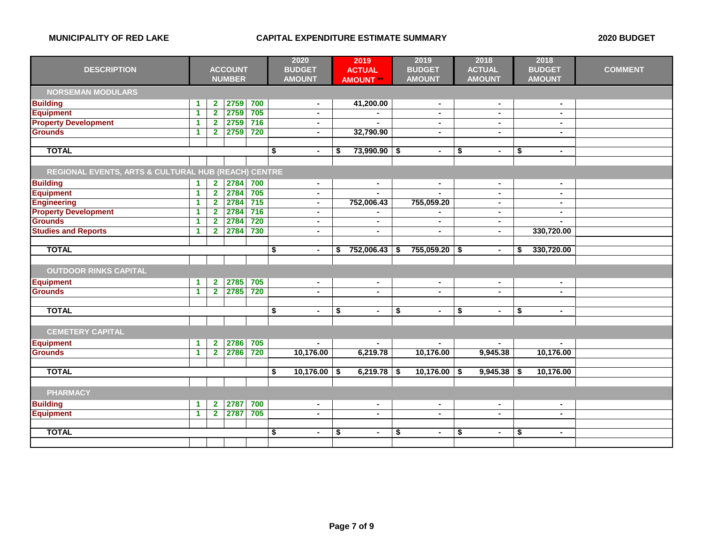|                                                     |                      |                         |                |                  | 2020                 | 2019                 | 2019                 |      | 2018           |     | 2018           |                |
|-----------------------------------------------------|----------------------|-------------------------|----------------|------------------|----------------------|----------------------|----------------------|------|----------------|-----|----------------|----------------|
| <b>DESCRIPTION</b>                                  |                      |                         | <b>ACCOUNT</b> |                  | <b>BUDGET</b>        | <b>ACTUAL</b>        | <b>BUDGET</b>        |      | <b>ACTUAL</b>  |     | <b>BUDGET</b>  | <b>COMMENT</b> |
|                                                     |                      |                         | <b>NUMBER</b>  |                  | <b>AMOUNT</b>        | <b>AMOUNT</b>        | <b>AMOUNT</b>        |      | <b>AMOUNT</b>  |     | <b>AMOUNT</b>  |                |
| <b>NORSEMAN MODULARS</b>                            |                      |                         |                |                  |                      |                      |                      |      |                |     |                |                |
| <b>Building</b>                                     | $\blacktriangleleft$ | $\mathbf{2}$            | 2759           | 700              | $\sim$               | 41,200.00            | $\sim$               |      | $\sim$         |     | $\sim$         |                |
| <b>Equipment</b>                                    | 1                    | $\mathbf{2}$            | 2759           | 705              | $\blacksquare$       |                      |                      |      | ٠              |     | $\blacksquare$ |                |
| <b>Property Development</b>                         | 1                    | $\overline{2}$          | 2759           | 716              | $\blacksquare$       |                      | $\blacksquare$       |      | ۰              |     | $\blacksquare$ |                |
| <b>Grounds</b>                                      | $\blacktriangleleft$ | $\overline{2}$          | 2759           | 720              | $\blacksquare$       | 32,790.90            | $\sim$               |      | $\blacksquare$ |     | $\sim$         |                |
|                                                     |                      |                         |                |                  |                      |                      |                      |      |                |     |                |                |
| <b>TOTAL</b>                                        |                      |                         |                |                  | \$<br>$\blacksquare$ | 73,990.90<br>\$      | \$<br>$\blacksquare$ | \$   | $\blacksquare$ | \$  | $\sim$         |                |
|                                                     |                      |                         |                |                  |                      |                      |                      |      |                |     |                |                |
| REGIONAL EVENTS, ARTS & CULTURAL HUB (REACH) CENTRE |                      |                         |                |                  |                      |                      |                      |      |                |     |                |                |
| <b>Building</b>                                     | $\mathbf 1$          | $\mathbf{2}$            | 2784           | 700              | $\sim$               | $\blacksquare$       | $\blacksquare$       |      | $\sim$         |     | $\sim$         |                |
| <b>Equipment</b>                                    | $\blacktriangleleft$ | $\overline{2}$          | 2784           | 705              | $\blacksquare$       |                      |                      |      | ä,             |     | $\blacksquare$ |                |
| <b>Engineering</b>                                  | 1                    | $\overline{2}$          | 2784           | $\overline{715}$ | $\blacksquare$       | 752,006.43           | 755,059.20           |      | $\blacksquare$ |     | $\blacksquare$ |                |
| <b>Property Development</b>                         | 1                    | $\overline{2}$          | 2784           | 716              | $\blacksquare$       |                      |                      |      | ٠              |     | $\sim$         |                |
| <b>Grounds</b>                                      | 1                    | $\overline{2}$          | 2784           | 720              | $\blacksquare$       | $\blacksquare$       | $\blacksquare$       |      | $\sim$         |     | $\blacksquare$ |                |
| <b>Studies and Reports</b>                          | 1                    | $\mathbf{2}$            | 2784           | 730              | $\blacksquare$       | $\blacksquare$       | $\sim$               |      | $\blacksquare$ |     | 330,720.00     |                |
|                                                     |                      |                         |                |                  |                      |                      |                      |      |                |     |                |                |
| <b>TOTAL</b>                                        |                      |                         |                |                  | \$<br>$\blacksquare$ | 752,006.43<br>\$     | \$<br>755,059.20     | \$   | $\blacksquare$ | \$  | 330,720.00     |                |
| <b>OUTDOOR RINKS CAPITAL</b>                        |                      |                         |                |                  |                      |                      |                      |      |                |     |                |                |
| <b>Equipment</b>                                    | $\blacktriangleleft$ | $\mathbf{2}$            | 2785           | 705              | $\blacksquare$       | $\blacksquare$       | $\blacksquare$       |      | $\blacksquare$ |     | $\blacksquare$ |                |
| <b>Grounds</b>                                      | $\mathbf{1}$         | $\overline{2}$          | 2785           | 720              | $\blacksquare$       | $\blacksquare$       | $\blacksquare$       |      | ٠              |     | $\blacksquare$ |                |
|                                                     |                      |                         |                |                  |                      |                      |                      |      |                |     |                |                |
| <b>TOTAL</b>                                        |                      |                         |                |                  | \$<br>$\blacksquare$ | \$<br>$\sim$         | \$<br>$\blacksquare$ | \$   | $\blacksquare$ | \$  | $\sim$         |                |
|                                                     |                      |                         |                |                  |                      |                      |                      |      |                |     |                |                |
| <b>CEMETERY CAPITAL</b>                             |                      |                         |                |                  |                      |                      |                      |      |                |     |                |                |
| <b>Equipment</b>                                    | $\blacktriangleleft$ | $\overline{\mathbf{2}}$ | 2786           | 705              |                      |                      |                      |      | $\blacksquare$ |     |                |                |
| <b>Grounds</b>                                      | $\blacktriangleleft$ | $\overline{2}$          | 2786           | 720              | 10,176.00            | 6,219.78             | 10,176.00            |      | 9,945.38       |     | 10,176.00      |                |
|                                                     |                      |                         |                |                  |                      |                      |                      |      |                |     |                |                |
| <b>TOTAL</b>                                        |                      |                         |                |                  | \$<br>10,176.00      | 6,219.78<br>S        | \$<br>10,176.00      | - \$ | 9,945.38       | -\$ | 10,176.00      |                |
|                                                     |                      |                         |                |                  |                      |                      |                      |      |                |     |                |                |
| <b>PHARMACY</b>                                     |                      |                         |                |                  |                      |                      |                      |      |                |     |                |                |
| <b>Building</b>                                     | $\blacktriangleleft$ | $\mathbf{2}$            | 2787           | 700              | $\blacksquare$       | $\blacksquare$       | $\blacksquare$       |      | $\blacksquare$ |     | $\blacksquare$ |                |
| <b>Equipment</b>                                    | $\blacktriangleleft$ | $\mathbf{2}$            | 2787           | 705              | $\blacksquare$       | $\blacksquare$       | $\sim$               |      | ۰              |     | $\blacksquare$ |                |
|                                                     |                      |                         |                |                  |                      |                      |                      |      |                |     |                |                |
| <b>TOTAL</b>                                        |                      |                         |                |                  | \$<br>$\blacksquare$ | \$<br>$\blacksquare$ | \$<br>$\sim$         | \$   | $\blacksquare$ | \$  | $\blacksquare$ |                |
|                                                     |                      |                         |                |                  |                      |                      |                      |      |                |     |                |                |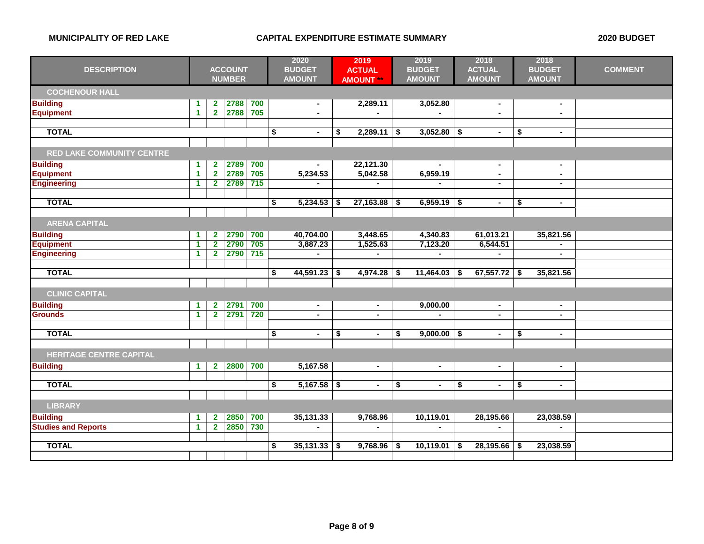| <b>DESCRIPTION</b>               | <b>ACCOUNT</b>       |                         | 2020<br><b>BUDGET</b> |                  | 2019<br><b>ACTUAL</b> |    | 2019<br><b>BUDGET</b> | 2018<br><b>ACTUAL</b> |                | 2018<br><b>BUDGET</b> |                | <b>COMMENT</b> |                |  |
|----------------------------------|----------------------|-------------------------|-----------------------|------------------|-----------------------|----|-----------------------|-----------------------|----------------|-----------------------|----------------|----------------|----------------|--|
|                                  |                      |                         | <b>NUMBER</b>         |                  | <b>AMOUNT</b>         |    | <b>AMOUNT</b>         |                       | <b>AMOUNT</b>  |                       | <b>AMOUNT</b>  |                | <b>AMOUNT</b>  |  |
| <b>COCHENOUR HALL</b>            |                      |                         |                       |                  |                       |    |                       |                       |                |                       |                |                |                |  |
| <b>Building</b>                  | $\blacktriangleleft$ | $\overline{2}$          | 2788                  | 700              | $\blacksquare$        |    | 2,289.11              |                       | 3,052.80       |                       | $\sim$         |                | $\blacksquare$ |  |
| <b>Equipment</b>                 | 1                    | $\overline{2}$          | 2788                  | 705              | $\blacksquare$        |    |                       |                       |                |                       | ÷              |                | $\blacksquare$ |  |
|                                  |                      |                         |                       |                  |                       |    |                       |                       |                |                       |                |                |                |  |
| <b>TOTAL</b>                     |                      |                         |                       |                  | \$<br>$\blacksquare$  | \$ | 2,289.11              | \$                    | 3,052.80       | \$                    | $\blacksquare$ | \$             | $\blacksquare$ |  |
|                                  |                      |                         |                       |                  |                       |    |                       |                       |                |                       |                |                |                |  |
| <b>RED LAKE COMMUNITY CENTRE</b> |                      |                         |                       |                  |                       |    |                       |                       |                |                       |                |                |                |  |
| <b>Building</b>                  | $\blacktriangleleft$ | $\mathbf{2}$            | 2789                  | 700              |                       |    | 22,121.30             |                       |                |                       | $\blacksquare$ |                | $\sim$         |  |
| <b>Equipment</b>                 | 1                    | $\overline{2}$          | 2789                  | 705              | 5,234.53              |    | 5,042.58              |                       | 6,959.19       |                       | $\blacksquare$ |                | $\blacksquare$ |  |
| <b>Engineering</b>               | $\blacktriangleleft$ | $\overline{2}$          | 2789                  | 715              |                       |    |                       |                       |                |                       | $\blacksquare$ |                | $\blacksquare$ |  |
|                                  |                      |                         |                       |                  |                       |    |                       |                       |                |                       |                |                |                |  |
| <b>TOTAL</b>                     |                      |                         |                       |                  | \$<br>5,234.53        | S  | 27,163.88             | S                     | $6,959.19$ \$  |                       | $\blacksquare$ | \$             | $\blacksquare$ |  |
|                                  |                      |                         |                       |                  |                       |    |                       |                       |                |                       |                |                |                |  |
| <b>ARENA CAPITAL</b>             |                      |                         |                       |                  |                       |    |                       |                       |                |                       |                |                |                |  |
| <b>Building</b>                  | $\blacktriangleleft$ | $\mathbf{2}$            | 2790                  | 700              | 40,704.00             |    | 3,448.65              |                       | 4,340.83       |                       | 61,013.21      |                | 35,821.56      |  |
| <b>Equipment</b>                 | $\blacktriangleleft$ | $\overline{2}$          | 2790                  | 705              | 3,887.23              |    | 1,525.63              |                       | 7,123.20       |                       | 6,544.51       |                |                |  |
| <b>Engineering</b>               | $\blacktriangleleft$ | $\overline{\mathbf{2}}$ | 2790                  | 715              |                       |    |                       |                       |                |                       |                |                | $\blacksquare$ |  |
|                                  |                      |                         |                       |                  |                       |    |                       |                       |                |                       |                |                |                |  |
| <b>TOTAL</b>                     |                      |                         |                       |                  | \$<br>44,591.23       | \$ | 4,974.28              | \$                    | 11,464.03      | \$                    | 67,557.72      | \$             | 35,821.56      |  |
|                                  |                      |                         |                       |                  |                       |    |                       |                       |                |                       |                |                |                |  |
| <b>CLINIC CAPITAL</b>            |                      |                         |                       |                  |                       |    |                       |                       |                |                       |                |                |                |  |
| <b>Building</b>                  | $\blacktriangleleft$ | $\mathbf{2}$            | 2791                  | 700              | $\blacksquare$        |    | $\blacksquare$        |                       | 9,000.00       |                       | $\sim$         |                | $\blacksquare$ |  |
| <b>Grounds</b>                   | $\blacktriangleleft$ | $\overline{2}$          | 2791                  | 720              | $\blacksquare$        |    | $\sim$                |                       |                |                       | $\blacksquare$ |                | $\blacksquare$ |  |
|                                  |                      |                         |                       |                  |                       |    |                       |                       |                |                       |                |                |                |  |
| <b>TOTAL</b>                     |                      |                         |                       |                  | \$<br>$\sim$          | \$ | $\blacksquare$        | \$                    | $9,000.00$ \$  |                       | $\sim$         | \$             | $\sim$         |  |
|                                  |                      |                         |                       |                  |                       |    |                       |                       |                |                       |                |                |                |  |
| <b>HERITAGE CENTRE CAPITAL</b>   |                      |                         |                       |                  |                       |    |                       |                       |                |                       |                |                |                |  |
| <b>Building</b>                  | $\blacktriangleleft$ | $\mathbf{2}$            | 2800                  | 700              | 5,167.58              |    | $\blacksquare$        |                       | $\sim$         |                       | $\sim$         |                | $\sim$         |  |
|                                  |                      |                         |                       |                  |                       |    |                       |                       |                |                       |                |                |                |  |
| <b>TOTAL</b>                     |                      |                         |                       |                  | \$<br>$5,167.58$ \$   |    | $\blacksquare$        | \$                    | $\blacksquare$ | \$                    | $\sim$         | \$             | $\blacksquare$ |  |
|                                  |                      |                         |                       |                  |                       |    |                       |                       |                |                       |                |                |                |  |
| <b>LIBRARY</b>                   |                      |                         |                       |                  |                       |    |                       |                       |                |                       |                |                |                |  |
| <b>Building</b>                  | $\blacktriangleleft$ | $\mathbf{2}$            | 2850                  | 700              | 35,131.33             |    | 9,768.96              |                       | 10,119.01      |                       | 28,195.66      |                | 23,038.59      |  |
| <b>Studies and Reports</b>       | $\blacktriangleleft$ | $\overline{\mathbf{2}}$ | 2850                  | $\overline{730}$ |                       |    |                       |                       |                |                       |                |                |                |  |
|                                  |                      |                         |                       |                  |                       |    |                       |                       |                |                       |                |                |                |  |
| <b>TOTAL</b>                     |                      |                         |                       |                  | \$<br>35,131.33       |    | 9,768.96              | S.                    | 10,119.01      | S.                    | 28,195.66      | -S             | 23,038.59      |  |
|                                  |                      |                         |                       |                  |                       |    |                       |                       |                |                       |                |                |                |  |